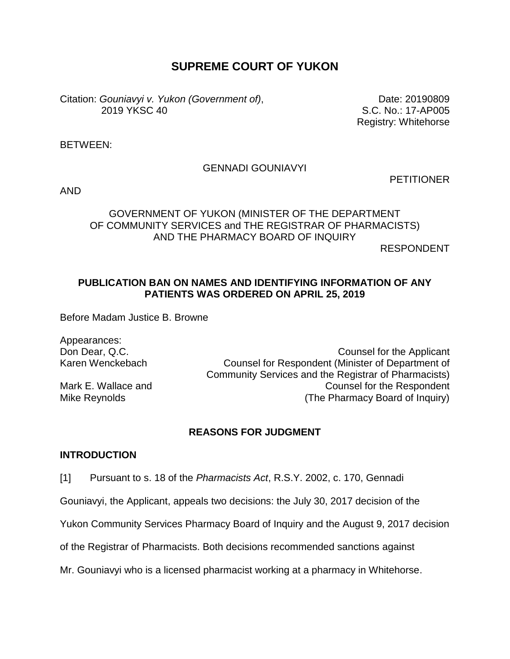# **SUPREME COURT OF YUKON**

Citation: *Gouniavyi v. Yukon (Government of)*, 2019 YKSC 40

Date: 20190809 S.C. No.: 17-AP005 Registry: Whitehorse

BETWEEN:

#### GENNADI GOUNIAVYI

**PETITIONER** 

AND

## GOVERNMENT OF YUKON (MINISTER OF THE DEPARTMENT OF COMMUNITY SERVICES and THE REGISTRAR OF PHARMACISTS) AND THE PHARMACY BOARD OF INQUIRY

RESPONDENT

#### **PUBLICATION BAN ON NAMES AND IDENTIFYING INFORMATION OF ANY PATIENTS WAS ORDERED ON APRIL 25, 2019**

Before Madam Justice B. Browne

Appearances:

Don Dear, Q.C. Counsel for the Applicant Karen Wenckebach Counsel for Respondent (Minister of Department of Community Services and the Registrar of Pharmacists) Mark E. Wallace and **Counsel for the Respondent** Mike Reynolds **Mike Reynolds** (The Pharmacy Board of Inquiry)

### **REASONS FOR JUDGMENT**

#### **INTRODUCTION**

[1] Pursuant to s. 18 of the *Pharmacists Act*, R.S.Y. 2002, c. 170, Gennadi

Gouniavyi, the Applicant, appeals two decisions: the July 30, 2017 decision of the

Yukon Community Services Pharmacy Board of Inquiry and the August 9, 2017 decision

of the Registrar of Pharmacists. Both decisions recommended sanctions against

Mr. Gouniavyi who is a licensed pharmacist working at a pharmacy in Whitehorse.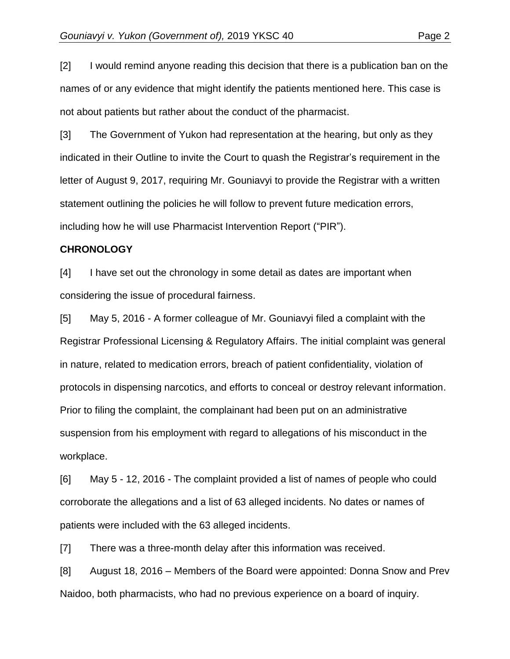[2] I would remind anyone reading this decision that there is a publication ban on the names of or any evidence that might identify the patients mentioned here. This case is not about patients but rather about the conduct of the pharmacist.

[3] The Government of Yukon had representation at the hearing, but only as they indicated in their Outline to invite the Court to quash the Registrar's requirement in the letter of August 9, 2017, requiring Mr. Gouniavyi to provide the Registrar with a written statement outlining the policies he will follow to prevent future medication errors, including how he will use Pharmacist Intervention Report ("PIR").

#### **CHRONOLOGY**

[4] I have set out the chronology in some detail as dates are important when considering the issue of procedural fairness.

[5] May 5, 2016 - A former colleague of Mr. Gouniavyi filed a complaint with the Registrar Professional Licensing & Regulatory Affairs. The initial complaint was general in nature, related to medication errors, breach of patient confidentiality, violation of protocols in dispensing narcotics, and efforts to conceal or destroy relevant information. Prior to filing the complaint, the complainant had been put on an administrative suspension from his employment with regard to allegations of his misconduct in the workplace.

[6] May 5 - 12, 2016 - The complaint provided a list of names of people who could corroborate the allegations and a list of 63 alleged incidents. No dates or names of patients were included with the 63 alleged incidents.

[7] There was a three-month delay after this information was received.

[8] August 18, 2016 – Members of the Board were appointed: Donna Snow and Prev Naidoo, both pharmacists, who had no previous experience on a board of inquiry.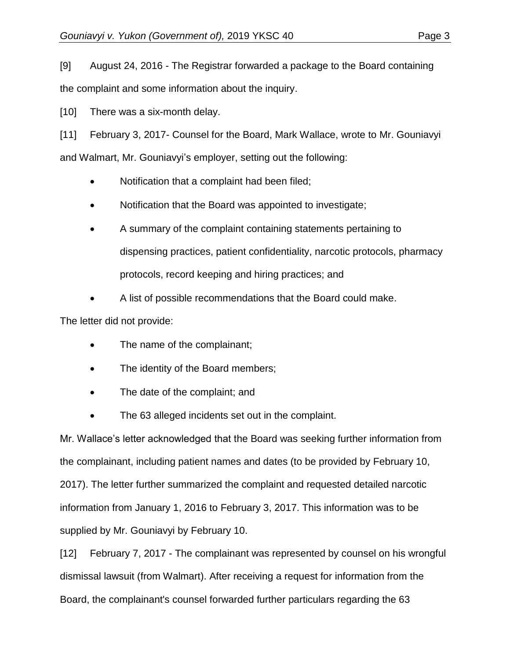[9] August 24, 2016 - The Registrar forwarded a package to the Board containing the complaint and some information about the inquiry.

[10] There was a six-month delay.

[11] February 3, 2017- Counsel for the Board, Mark Wallace, wrote to Mr. Gouniavyi and Walmart, Mr. Gouniavyi's employer, setting out the following:

- Notification that a complaint had been filed;
- Notification that the Board was appointed to investigate;
- A summary of the complaint containing statements pertaining to dispensing practices, patient confidentiality, narcotic protocols, pharmacy protocols, record keeping and hiring practices; and
- A list of possible recommendations that the Board could make.

The letter did not provide:

- The name of the complainant;
- The identity of the Board members;
- The date of the complaint; and
- The 63 alleged incidents set out in the complaint.

Mr. Wallace's letter acknowledged that the Board was seeking further information from the complainant, including patient names and dates (to be provided by February 10, 2017). The letter further summarized the complaint and requested detailed narcotic information from January 1, 2016 to February 3, 2017. This information was to be supplied by Mr. Gouniavyi by February 10.

[12] February 7, 2017 - The complainant was represented by counsel on his wrongful dismissal lawsuit (from Walmart). After receiving a request for information from the Board, the complainant's counsel forwarded further particulars regarding the 63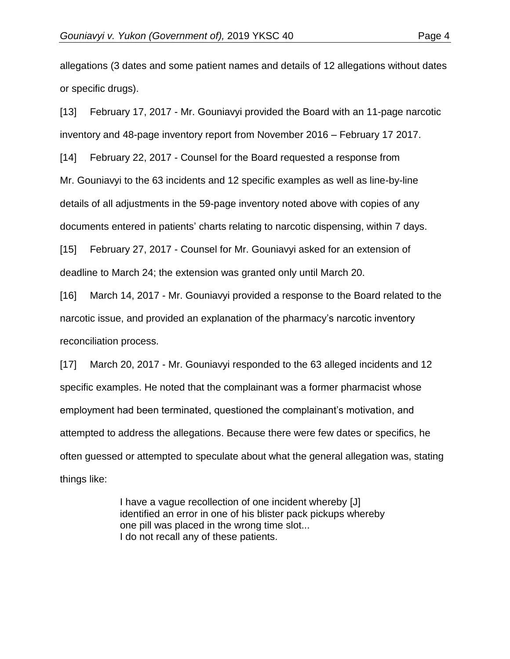allegations (3 dates and some patient names and details of 12 allegations without dates or specific drugs).

[13] February 17, 2017 - Mr. Gouniavyi provided the Board with an 11-page narcotic inventory and 48-page inventory report from November 2016 – February 17 2017.

[14] February 22, 2017 - Counsel for the Board requested a response from Mr. Gouniavyi to the 63 incidents and 12 specific examples as well as line-by-line details of all adjustments in the 59-page inventory noted above with copies of any documents entered in patients' charts relating to narcotic dispensing, within 7 days.

[15] February 27, 2017 - Counsel for Mr. Gouniavyi asked for an extension of deadline to March 24; the extension was granted only until March 20.

[16] March 14, 2017 - Mr. Gouniavyi provided a response to the Board related to the narcotic issue, and provided an explanation of the pharmacy's narcotic inventory reconciliation process.

[17] March 20, 2017 - Mr. Gouniavyi responded to the 63 alleged incidents and 12 specific examples. He noted that the complainant was a former pharmacist whose employment had been terminated, questioned the complainant's motivation, and attempted to address the allegations. Because there were few dates or specifics, he often guessed or attempted to speculate about what the general allegation was, stating things like:

> I have a vague recollection of one incident whereby [J] identified an error in one of his blister pack pickups whereby one pill was placed in the wrong time slot... I do not recall any of these patients.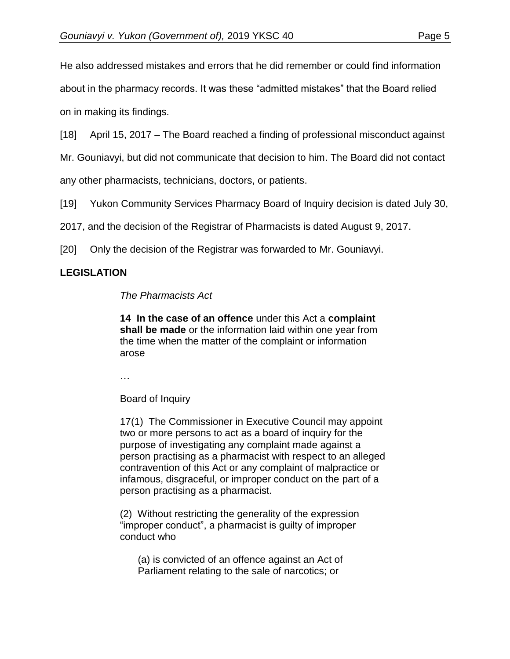He also addressed mistakes and errors that he did remember or could find information about in the pharmacy records. It was these "admitted mistakes" that the Board relied on in making its findings.

[18] April 15, 2017 – The Board reached a finding of professional misconduct against

Mr. Gouniavyi, but did not communicate that decision to him. The Board did not contact

any other pharmacists, technicians, doctors, or patients.

[19] Yukon Community Services Pharmacy Board of Inquiry decision is dated July 30,

2017, and the decision of the Registrar of Pharmacists is dated August 9, 2017.

[20] Only the decision of the Registrar was forwarded to Mr. Gouniavyi.

## **LEGISLATION**

*The Pharmacists Act*

**14 In the case of an offence** under this Act a **complaint shall be made** or the information laid within one year from the time when the matter of the complaint or information arose

…

Board of Inquiry

17(1) The Commissioner in Executive Council may appoint two or more persons to act as a board of inquiry for the purpose of investigating any complaint made against a person practising as a pharmacist with respect to an alleged contravention of this Act or any complaint of malpractice or infamous, disgraceful, or improper conduct on the part of a person practising as a pharmacist.

(2) Without restricting the generality of the expression "improper conduct", a pharmacist is guilty of improper conduct who

(a) is convicted of an offence against an Act of Parliament relating to the sale of narcotics; or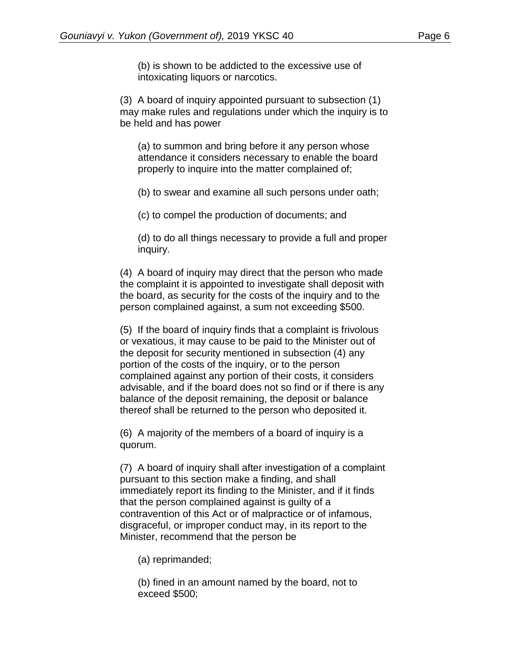(b) is shown to be addicted to the excessive use of intoxicating liquors or narcotics.

(3) A board of inquiry appointed pursuant to subsection (1) may make rules and regulations under which the inquiry is to be held and has power

(a) to summon and bring before it any person whose attendance it considers necessary to enable the board properly to inquire into the matter complained of;

(b) to swear and examine all such persons under oath;

(c) to compel the production of documents; and

(d) to do all things necessary to provide a full and proper inquiry.

(4) A board of inquiry may direct that the person who made the complaint it is appointed to investigate shall deposit with the board, as security for the costs of the inquiry and to the person complained against, a sum not exceeding \$500.

(5) If the board of inquiry finds that a complaint is frivolous or vexatious, it may cause to be paid to the Minister out of the deposit for security mentioned in subsection (4) any portion of the costs of the inquiry, or to the person complained against any portion of their costs, it considers advisable, and if the board does not so find or if there is any balance of the deposit remaining, the deposit or balance thereof shall be returned to the person who deposited it.

(6) A majority of the members of a board of inquiry is a quorum.

(7) A board of inquiry shall after investigation of a complaint pursuant to this section make a finding, and shall immediately report its finding to the Minister, and if it finds that the person complained against is guilty of a contravention of this Act or of malpractice or of infamous, disgraceful, or improper conduct may, in its report to the Minister, recommend that the person be

(a) reprimanded;

(b) fined in an amount named by the board, not to exceed \$500;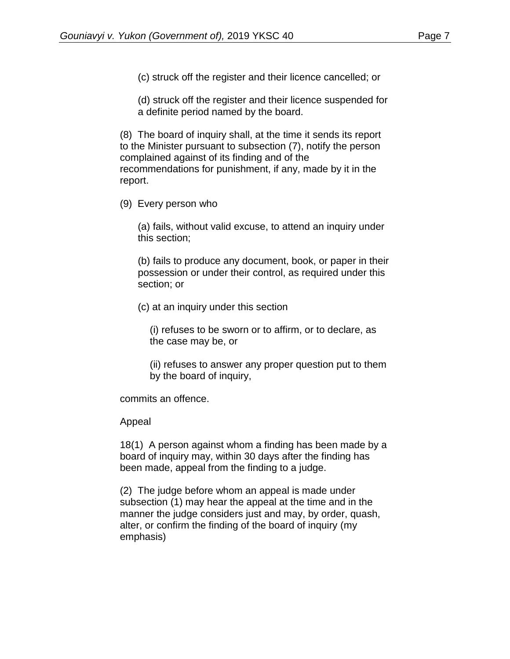(c) struck off the register and their licence cancelled; or

(d) struck off the register and their licence suspended for a definite period named by the board.

(8) The board of inquiry shall, at the time it sends its report to the Minister pursuant to subsection (7), notify the person complained against of its finding and of the recommendations for punishment, if any, made by it in the report.

(9) Every person who

(a) fails, without valid excuse, to attend an inquiry under this section;

(b) fails to produce any document, book, or paper in their possession or under their control, as required under this section; or

(c) at an inquiry under this section

(i) refuses to be sworn or to affirm, or to declare, as the case may be, or

(ii) refuses to answer any proper question put to them by the board of inquiry,

commits an offence.

### Appeal

18(1) A person against whom a finding has been made by a board of inquiry may, within 30 days after the finding has been made, appeal from the finding to a judge.

(2) The judge before whom an appeal is made under subsection (1) may hear the appeal at the time and in the manner the judge considers just and may, by order, quash, alter, or confirm the finding of the board of inquiry (my emphasis)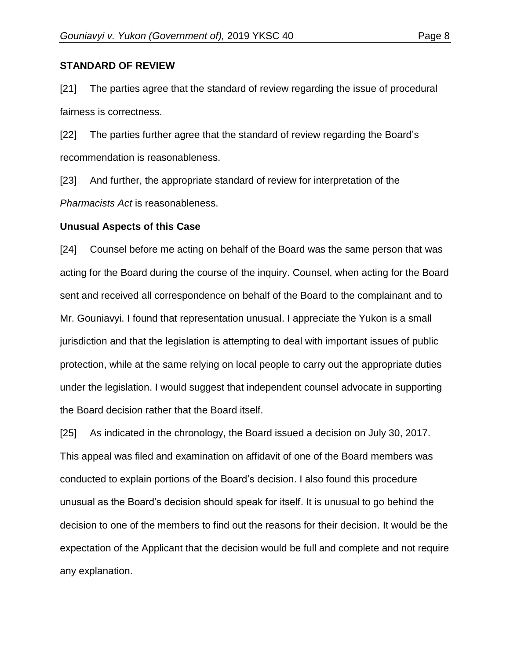#### **STANDARD OF REVIEW**

[21] The parties agree that the standard of review regarding the issue of procedural fairness is correctness.

[22] The parties further agree that the standard of review regarding the Board's recommendation is reasonableness.

[23] And further, the appropriate standard of review for interpretation of the *Pharmacists Act* is reasonableness.

#### **Unusual Aspects of this Case**

[24] Counsel before me acting on behalf of the Board was the same person that was acting for the Board during the course of the inquiry. Counsel, when acting for the Board sent and received all correspondence on behalf of the Board to the complainant and to Mr. Gouniavyi. I found that representation unusual. I appreciate the Yukon is a small jurisdiction and that the legislation is attempting to deal with important issues of public protection, while at the same relying on local people to carry out the appropriate duties under the legislation. I would suggest that independent counsel advocate in supporting the Board decision rather that the Board itself.

[25] As indicated in the chronology, the Board issued a decision on July 30, 2017. This appeal was filed and examination on affidavit of one of the Board members was conducted to explain portions of the Board's decision. I also found this procedure unusual as the Board's decision should speak for itself. It is unusual to go behind the decision to one of the members to find out the reasons for their decision. It would be the expectation of the Applicant that the decision would be full and complete and not require any explanation.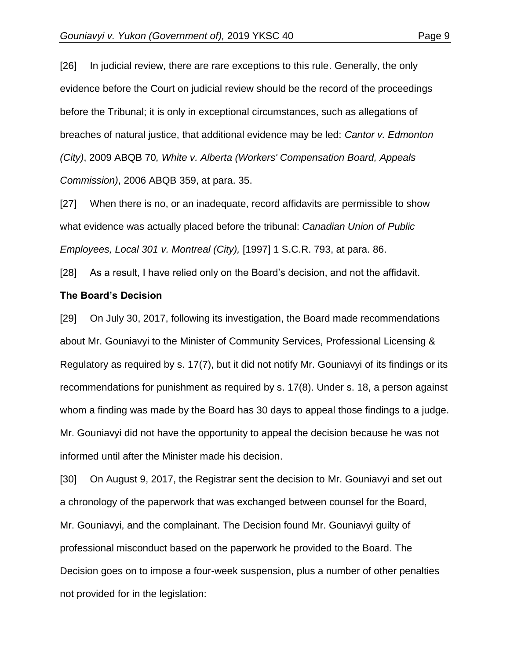[26] In judicial review, there are rare exceptions to this rule. Generally, the only evidence before the Court on judicial review should be the record of the proceedings before the Tribunal; it is only in exceptional circumstances, such as allegations of breaches of natural justice, that additional evidence may be led: *Cantor v. Edmonton (City)*, 2009 ABQB 70*, White v. Alberta (Workers' Compensation Board, Appeals Commission)*, 2006 ABQB 359, at para. 35.

[27] When there is no, or an inadequate, record affidavits are permissible to show what evidence was actually placed before the tribunal: *Canadian Union of Public Employees, Local 301 v. Montreal (City),* [1997] 1 S.C.R. 793, at para. 86.

[28] As a result, I have relied only on the Board's decision, and not the affidavit.

#### **The Board's Decision**

[29] On July 30, 2017, following its investigation, the Board made recommendations about Mr. Gouniavyi to the Minister of Community Services, Professional Licensing & Regulatory as required by s. 17(7), but it did not notify Mr. Gouniavyi of its findings or its recommendations for punishment as required by s. 17(8). Under s. 18, a person against whom a finding was made by the Board has 30 days to appeal those findings to a judge. Mr. Gouniavyi did not have the opportunity to appeal the decision because he was not informed until after the Minister made his decision.

[30] On August 9, 2017, the Registrar sent the decision to Mr. Gouniavyi and set out a chronology of the paperwork that was exchanged between counsel for the Board, Mr. Gouniavyi, and the complainant. The Decision found Mr. Gouniavyi guilty of professional misconduct based on the paperwork he provided to the Board. The Decision goes on to impose a four-week suspension, plus a number of other penalties not provided for in the legislation: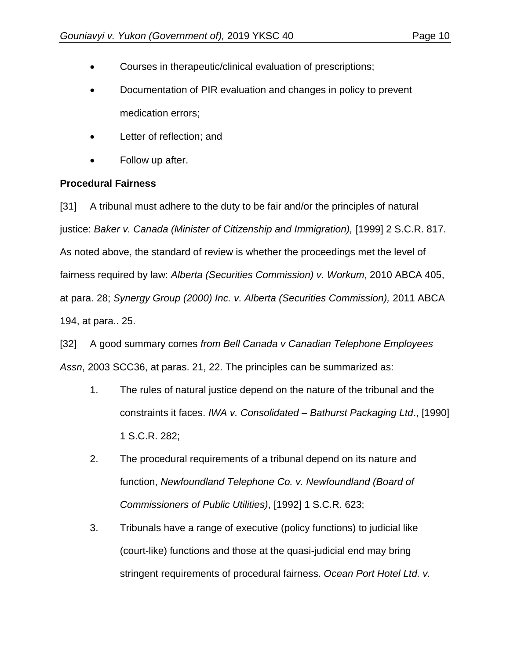- Courses in therapeutic/clinical evaluation of prescriptions;
- Documentation of PIR evaluation and changes in policy to prevent medication errors;
- Letter of reflection; and
- Follow up after.

## **Procedural Fairness**

[31] A tribunal must adhere to the duty to be fair and/or the principles of natural justice: *Baker v. Canada (Minister of Citizenship and Immigration),* [1999] 2 S.C.R. 817. As noted above, the standard of review is whether the proceedings met the level of fairness required by law: *Alberta (Securities Commission) v. Workum*, 2010 ABCA 405, at para. 28; *Synergy Group (2000) Inc. v. Alberta (Securities Commission),* 2011 ABCA 194, at para.. 25.

[32] A good summary comes *from Bell Canada v Canadian Telephone Employees Assn*, 2003 SCC36, at paras. 21, 22. The principles can be summarized as:

- 1. The rules of natural justice depend on the nature of the tribunal and the constraints it faces. *IWA v. Consolidated – Bathurst Packaging Ltd*., [1990] 1 S.C.R. 282;
- 2. The procedural requirements of a tribunal depend on its nature and function, *Newfoundland Telephone Co. v. Newfoundland (Board of Commissioners of Public Utilities)*, [1992] 1 S.C.R. 623;
- 3. Tribunals have a range of executive (policy functions) to judicial like (court-like) functions and those at the quasi-judicial end may bring stringent requirements of procedural fairness. *Ocean Port Hotel Ltd. v.*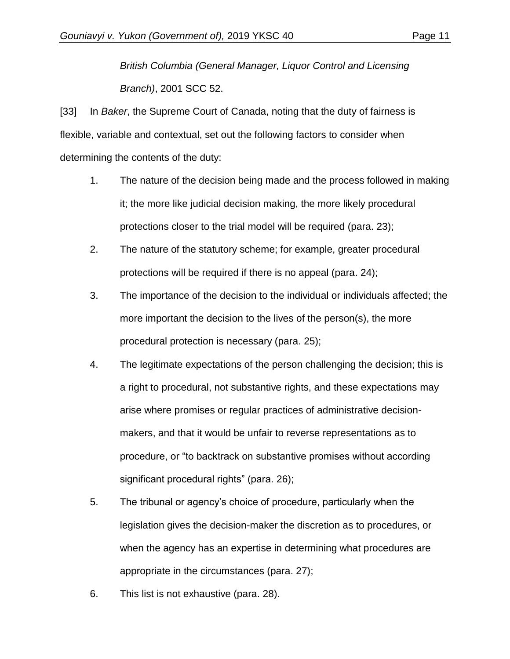*British Columbia (General Manager, Liquor Control and Licensing Branch)*, 2001 SCC 52.

[33] In *Baker*, the Supreme Court of Canada, noting that the duty of fairness is flexible, variable and contextual, set out the following factors to consider when determining the contents of the duty:

- 1. The nature of the decision being made and the process followed in making it; the more like judicial decision making, the more likely procedural protections closer to the trial model will be required (para. 23);
- 2. The nature of the statutory scheme; for example, greater procedural protections will be required if there is no appeal (para. 24);
- 3. The importance of the decision to the individual or individuals affected; the more important the decision to the lives of the person(s), the more procedural protection is necessary (para. 25);
- 4. The legitimate expectations of the person challenging the decision; this is a right to procedural, not substantive rights, and these expectations may arise where promises or regular practices of administrative decisionmakers, and that it would be unfair to reverse representations as to procedure, or "to backtrack on substantive promises without according significant procedural rights" (para. 26);
- 5. The tribunal or agency's choice of procedure, particularly when the legislation gives the decision-maker the discretion as to procedures, or when the agency has an expertise in determining what procedures are appropriate in the circumstances (para. 27);
- 6. This list is not exhaustive (para. 28).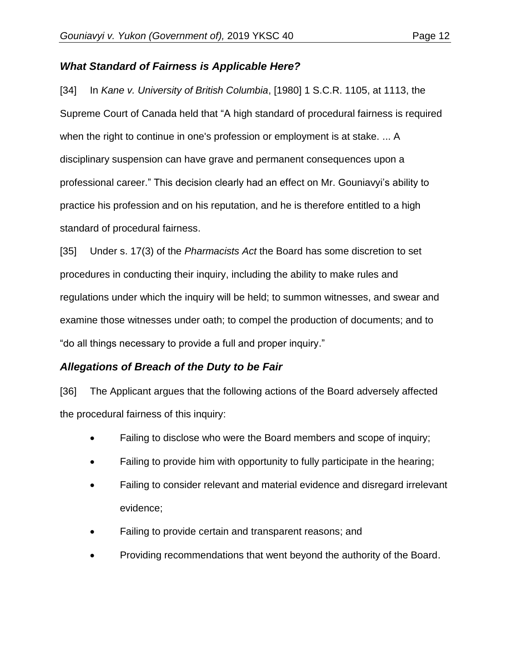# *What Standard of Fairness is Applicable Here?*

[34] In *Kane v. University of British Columbia*, [1980] 1 S.C.R. 1105, at 1113, the Supreme Court of Canada held that "A high standard of procedural fairness is required when the right to continue in one's profession or employment is at stake. ... A disciplinary suspension can have grave and permanent consequences upon a professional career." This decision clearly had an effect on Mr. Gouniavyi's ability to practice his profession and on his reputation, and he is therefore entitled to a high standard of procedural fairness.

[35] Under s. 17(3) of the *Pharmacists Act* the Board has some discretion to set procedures in conducting their inquiry, including the ability to make rules and regulations under which the inquiry will be held; to summon witnesses, and swear and examine those witnesses under oath; to compel the production of documents; and to "do all things necessary to provide a full and proper inquiry."

# *Allegations of Breach of the Duty to be Fair*

[36] The Applicant argues that the following actions of the Board adversely affected the procedural fairness of this inquiry:

- Failing to disclose who were the Board members and scope of inquiry;
- Failing to provide him with opportunity to fully participate in the hearing;
- Failing to consider relevant and material evidence and disregard irrelevant evidence;
- Failing to provide certain and transparent reasons; and
- Providing recommendations that went beyond the authority of the Board.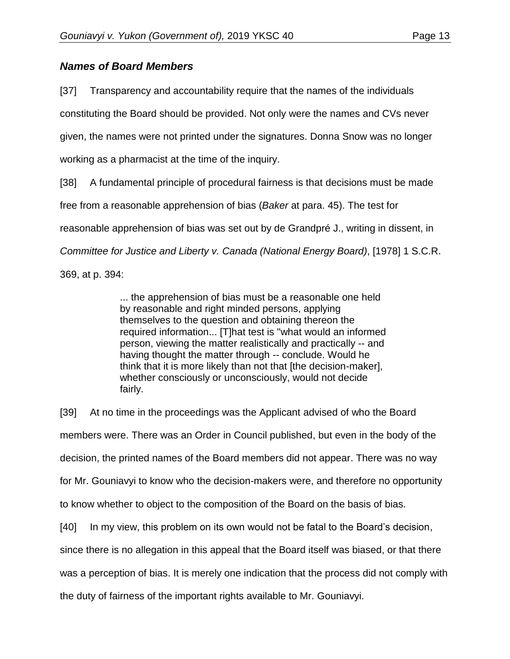# *Names of Board Members*

[37] Transparency and accountability require that the names of the individuals constituting the Board should be provided. Not only were the names and CVs never given, the names were not printed under the signatures. Donna Snow was no longer working as a pharmacist at the time of the inquiry.

[38] A fundamental principle of procedural fairness is that decisions must be made free from a reasonable apprehension of bias (*Baker* at para. 45). The test for reasonable apprehension of bias was set out by de Grandpré J., writing in dissent, in *Committee for Justice and Liberty v. Canada (National Energy Board)*, [1978] 1 S.C.R. 369, at p. 394:

> ... the apprehension of bias must be a reasonable one held by reasonable and right minded persons, applying themselves to the question and obtaining thereon the required information... [T]hat test is "what would an informed person, viewing the matter realistically and practically -- and having thought the matter through -- conclude. Would he think that it is more likely than not that [the decision-maker], whether consciously or unconsciously, would not decide fairly.

[39] At no time in the proceedings was the Applicant advised of who the Board members were. There was an Order in Council published, but even in the body of the decision, the printed names of the Board members did not appear. There was no way for Mr. Gouniavyi to know who the decision-makers were, and therefore no opportunity to know whether to object to the composition of the Board on the basis of bias.

[40] In my view, this problem on its own would not be fatal to the Board's decision,

since there is no allegation in this appeal that the Board itself was biased, or that there

was a perception of bias. It is merely one indication that the process did not comply with

the duty of fairness of the important rights available to Mr. Gouniavyi.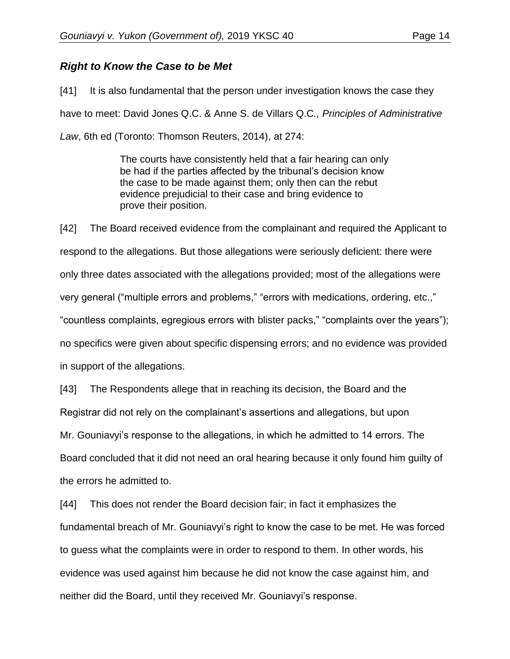## *Right to Know the Case to be Met*

[41] It is also fundamental that the person under investigation knows the case they have to meet: David Jones Q.C. & Anne S. de Villars Q.C*., Principles of Administrative Law*, 6th ed (Toronto: Thomson Reuters, 2014), at 274:

> The courts have consistently held that a fair hearing can only be had if the parties affected by the tribunal's decision know the case to be made against them; only then can the rebut evidence prejudicial to their case and bring evidence to prove their position.

[42] The Board received evidence from the complainant and required the Applicant to respond to the allegations. But those allegations were seriously deficient: there were only three dates associated with the allegations provided; most of the allegations were very general ("multiple errors and problems," "errors with medications, ordering, etc.," "countless complaints, egregious errors with blister packs," "complaints over the years"); no specifics were given about specific dispensing errors; and no evidence was provided in support of the allegations.

[43] The Respondents allege that in reaching its decision, the Board and the Registrar did not rely on the complainant's assertions and allegations, but upon Mr. Gouniavyi's response to the allegations, in which he admitted to 14 errors. The Board concluded that it did not need an oral hearing because it only found him guilty of the errors he admitted to.

[44] This does not render the Board decision fair; in fact it emphasizes the fundamental breach of Mr. Gouniavyi's right to know the case to be met. He was forced to guess what the complaints were in order to respond to them. In other words, his evidence was used against him because he did not know the case against him, and neither did the Board, until they received Mr. Gouniavyi's response.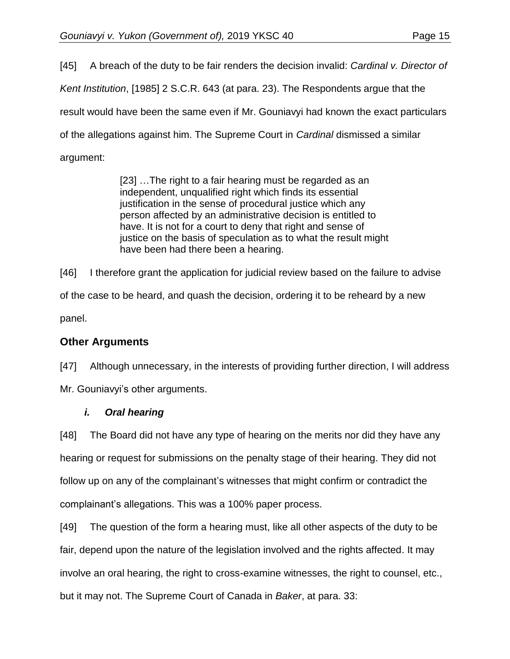[45] A breach of the duty to be fair renders the decision invalid: *Cardinal v. Director of Kent Institution*, [1985] 2 S.C.R. 643 (at para. 23). The Respondents argue that the result would have been the same even if Mr. Gouniavyi had known the exact particulars of the allegations against him. The Supreme Court in *Cardinal* dismissed a similar argument:

> [23] …The right to a fair hearing must be regarded as an independent, unqualified right which finds its essential justification in the sense of procedural justice which any person affected by an administrative decision is entitled to have. It is not for a court to deny that right and sense of justice on the basis of speculation as to what the result might have been had there been a hearing.

[46] I therefore grant the application for judicial review based on the failure to advise of the case to be heard, and quash the decision, ordering it to be reheard by a new panel.

# **Other Arguments**

[47] Although unnecessary, in the interests of providing further direction, I will address Mr. Gouniavyi's other arguments.

# *i. Oral hearing*

[48] The Board did not have any type of hearing on the merits nor did they have any hearing or request for submissions on the penalty stage of their hearing. They did not follow up on any of the complainant's witnesses that might confirm or contradict the complainant's allegations. This was a 100% paper process.

[49] The question of the form a hearing must, like all other aspects of the duty to be fair, depend upon the nature of the legislation involved and the rights affected. It may involve an oral hearing, the right to cross-examine witnesses, the right to counsel, etc., but it may not. The Supreme Court of Canada in *Baker*, at para. 33: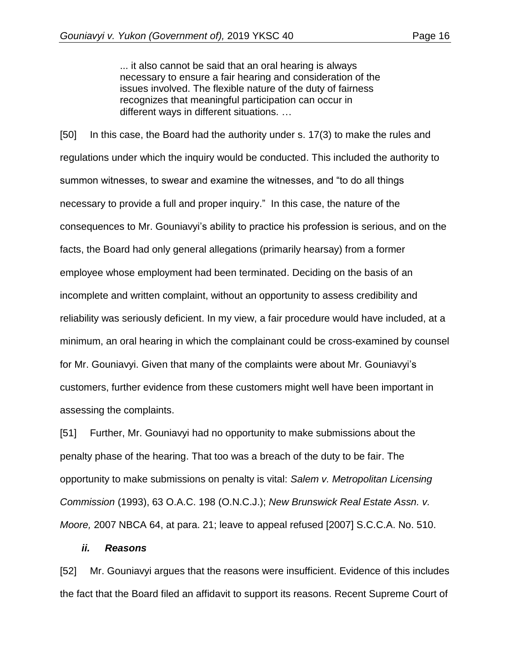... it also cannot be said that an oral hearing is always necessary to ensure a fair hearing and consideration of the issues involved. The flexible nature of the duty of fairness recognizes that meaningful participation can occur in different ways in different situations. …

[50] In this case, the Board had the authority under s. 17(3) to make the rules and regulations under which the inquiry would be conducted. This included the authority to summon witnesses, to swear and examine the witnesses, and "to do all things necessary to provide a full and proper inquiry." In this case, the nature of the consequences to Mr. Gouniavyi's ability to practice his profession is serious, and on the facts, the Board had only general allegations (primarily hearsay) from a former employee whose employment had been terminated. Deciding on the basis of an incomplete and written complaint, without an opportunity to assess credibility and reliability was seriously deficient. In my view, a fair procedure would have included, at a minimum, an oral hearing in which the complainant could be cross-examined by counsel for Mr. Gouniavyi. Given that many of the complaints were about Mr. Gouniavyi's customers, further evidence from these customers might well have been important in assessing the complaints.

[51] Further, Mr. Gouniavyi had no opportunity to make submissions about the penalty phase of the hearing. That too was a breach of the duty to be fair. The opportunity to make submissions on penalty is vital: *Salem v. Metropolitan Licensing Commission* (1993), 63 O.A.C. 198 (O.N.C.J.); *New Brunswick Real Estate Assn. v. Moore,* 2007 NBCA 64, at para. 21; leave to appeal refused [2007] S.C.C.A. No. 510.

#### *ii. Reasons*

[52] Mr. Gouniavyi argues that the reasons were insufficient. Evidence of this includes the fact that the Board filed an affidavit to support its reasons. Recent Supreme Court of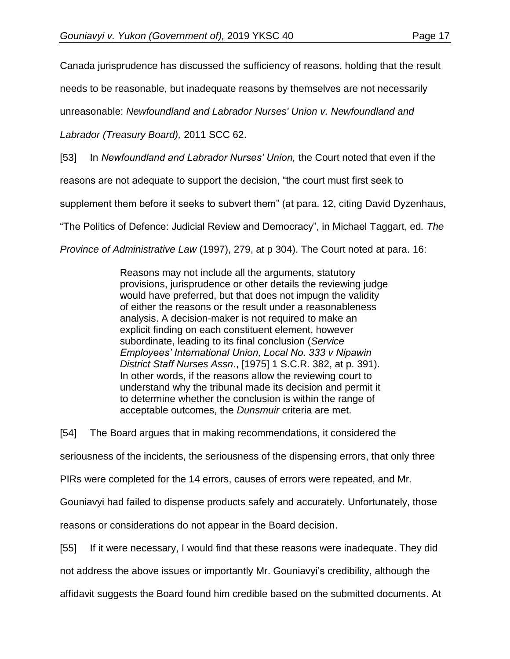Canada jurisprudence has discussed the sufficiency of reasons, holding that the result

needs to be reasonable, but inadequate reasons by themselves are not necessarily

unreasonable: *Newfoundland and Labrador Nurses' Union v. Newfoundland and* 

*Labrador (Treasury Board),* 2011 SCC 62.

[53] In *Newfoundland and Labrador Nurses' Union,* the Court noted that even if the

reasons are not adequate to support the decision, "the court must first seek to

supplement them before it seeks to subvert them" (at para. 12, citing David Dyzenhaus,

"The Politics of Defence: Judicial Review and Democracy", in Michael Taggart, ed*. The* 

*Province of Administrative Law* (1997), 279, at p 304). The Court noted at para. 16:

Reasons may not include all the arguments, statutory provisions, jurisprudence or other details the reviewing judge would have preferred, but that does not impugn the validity of either the reasons or the result under a reasonableness analysis. A decision-maker is not required to make an explicit finding on each constituent element, however subordinate, leading to its final conclusion (*Service Employees' International Union, Local No. 333 v Nipawin District Staff Nurses Assn*., [1975] 1 S.C.R. 382, at p. 391). In other words, if the reasons allow the reviewing court to understand why the tribunal made its decision and permit it to determine whether the conclusion is within the range of acceptable outcomes, the *Dunsmuir* criteria are met.

[54] The Board argues that in making recommendations, it considered the

seriousness of the incidents, the seriousness of the dispensing errors, that only three

PIRs were completed for the 14 errors, causes of errors were repeated, and Mr.

Gouniavyi had failed to dispense products safely and accurately. Unfortunately, those

reasons or considerations do not appear in the Board decision.

[55] If it were necessary, I would find that these reasons were inadequate. They did

not address the above issues or importantly Mr. Gouniavyi's credibility, although the

affidavit suggests the Board found him credible based on the submitted documents. At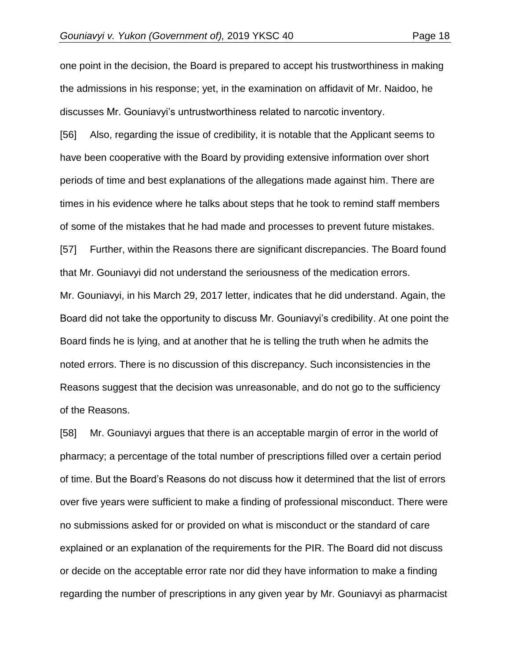one point in the decision, the Board is prepared to accept his trustworthiness in making the admissions in his response; yet, in the examination on affidavit of Mr. Naidoo, he discusses Mr. Gouniavyi's untrustworthiness related to narcotic inventory.

[56] Also, regarding the issue of credibility, it is notable that the Applicant seems to have been cooperative with the Board by providing extensive information over short periods of time and best explanations of the allegations made against him. There are times in his evidence where he talks about steps that he took to remind staff members of some of the mistakes that he had made and processes to prevent future mistakes.

[57] Further, within the Reasons there are significant discrepancies. The Board found that Mr. Gouniavyi did not understand the seriousness of the medication errors. Mr. Gouniavyi, in his March 29, 2017 letter, indicates that he did understand. Again, the Board did not take the opportunity to discuss Mr. Gouniavyi's credibility. At one point the Board finds he is lying, and at another that he is telling the truth when he admits the noted errors. There is no discussion of this discrepancy. Such inconsistencies in the Reasons suggest that the decision was unreasonable, and do not go to the sufficiency of the Reasons.

[58] Mr. Gouniavyi argues that there is an acceptable margin of error in the world of pharmacy; a percentage of the total number of prescriptions filled over a certain period of time. But the Board's Reasons do not discuss how it determined that the list of errors over five years were sufficient to make a finding of professional misconduct. There were no submissions asked for or provided on what is misconduct or the standard of care explained or an explanation of the requirements for the PIR. The Board did not discuss or decide on the acceptable error rate nor did they have information to make a finding regarding the number of prescriptions in any given year by Mr. Gouniavyi as pharmacist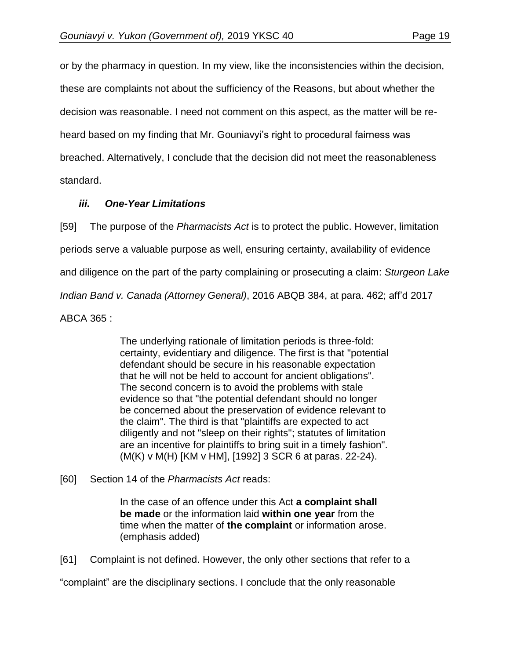or by the pharmacy in question. In my view, like the inconsistencies within the decision, these are complaints not about the sufficiency of the Reasons, but about whether the decision was reasonable. I need not comment on this aspect, as the matter will be reheard based on my finding that Mr. Gouniavyi's right to procedural fairness was breached. Alternatively, I conclude that the decision did not meet the reasonableness standard.

## *iii. One-Year Limitations*

[59] The purpose of the *Pharmacists Act* is to protect the public. However, limitation periods serve a valuable purpose as well, ensuring certainty, availability of evidence and diligence on the part of the party complaining or prosecuting a claim: *Sturgeon Lake Indian Band v. Canada (Attorney General)*, 2016 ABQB 384, at para. 462; aff'd 2017 ABCA 365 :

> The underlying rationale of limitation periods is three-fold: certainty, evidentiary and diligence. The first is that "potential defendant should be secure in his reasonable expectation that he will not be held to account for ancient obligations". The second concern is to avoid the problems with stale evidence so that "the potential defendant should no longer be concerned about the preservation of evidence relevant to the claim". The third is that "plaintiffs are expected to act diligently and not "sleep on their rights"; statutes of limitation are an incentive for plaintiffs to bring suit in a timely fashion". (M(K) v M(H) [KM v HM], [1992] 3 SCR 6 at paras. 22-24).

[60] Section 14 of the *Pharmacists Act* reads:

In the case of an offence under this Act **a complaint shall be made** or the information laid **within one year** from the time when the matter of **the complaint** or information arose. (emphasis added)

[61] Complaint is not defined. However, the only other sections that refer to a

"complaint" are the disciplinary sections. I conclude that the only reasonable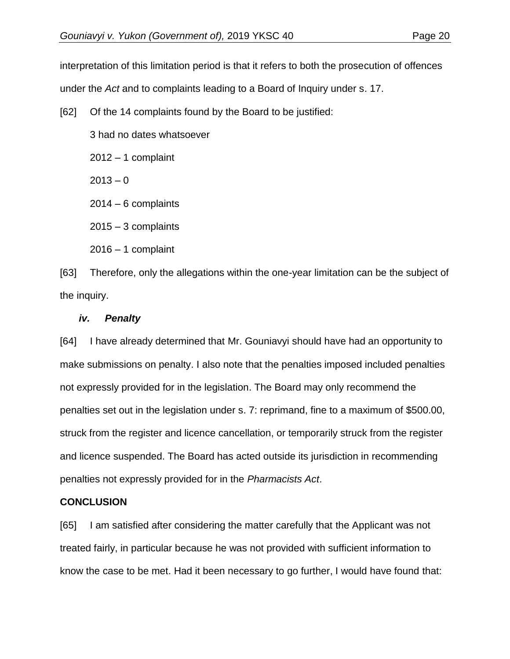interpretation of this limitation period is that it refers to both the prosecution of offences under the *Act* and to complaints leading to a Board of Inquiry under s. 17.

[62] Of the 14 complaints found by the Board to be justified:

3 had no dates whatsoever

 $2012 - 1$  complaint

 $2013 - 0$ 

 $2014 - 6$  complaints

 $2015 - 3$  complaints

 $2016 - 1$  complaint

[63] Therefore, only the allegations within the one-year limitation can be the subject of the inquiry.

### *iv. Penalty*

[64] I have already determined that Mr. Gouniavyi should have had an opportunity to make submissions on penalty. I also note that the penalties imposed included penalties not expressly provided for in the legislation. The Board may only recommend the penalties set out in the legislation under s. 7: reprimand, fine to a maximum of \$500.00, struck from the register and licence cancellation, or temporarily struck from the register and licence suspended. The Board has acted outside its jurisdiction in recommending penalties not expressly provided for in the *Pharmacists Act*.

### **CONCLUSION**

[65] I am satisfied after considering the matter carefully that the Applicant was not treated fairly, in particular because he was not provided with sufficient information to know the case to be met. Had it been necessary to go further, I would have found that: